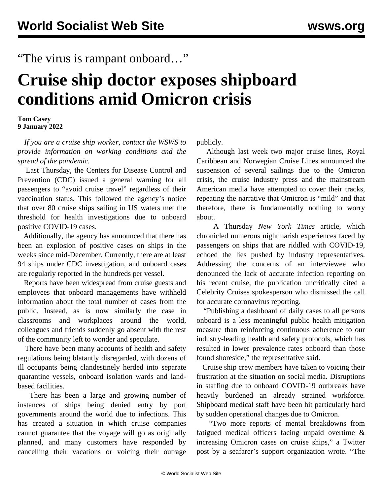## "The virus is rampant onboard…"

## **Cruise ship doctor exposes shipboard conditions amid Omicron crisis**

## **Tom Casey 9 January 2022**

 *If you are a cruise ship worker, [contact the WSWS](/en/special/pages/contact.html) to provide information on working conditions and the spread of the pandemic.*

 Last Thursday, the Centers for Disease Control and Prevention (CDC) issued a general warning for all passengers to "avoid cruise travel" regardless of their vaccination status. This followed the agency's notice that over 80 cruise ships sailing in US waters met the threshold for health investigations due to onboard positive COVID-19 cases.

 Additionally, the agency has announced that there has been an explosion of positive cases on ships in the weeks since mid-December. Currently, there are at least 94 ships under CDC investigation, and onboard cases are regularly reported in the hundreds per vessel.

 Reports have been widespread from cruise guests and employees that onboard managements have withheld information about the total number of cases from the public. Instead, as is now similarly the case in classrooms and workplaces around the world, colleagues and friends suddenly go absent with the rest of the community left to wonder and speculate.

 There have been many accounts of health and safety regulations being blatantly disregarded, with dozens of ill occupants being clandestinely herded into separate quarantine vessels, onboard isolation wards and landbased facilities.

 There has been a large and growing number of instances of ships being denied entry by port governments around the world due to infections. This has created a situation in which cruise companies cannot guarantee that the voyage will go as originally planned, and many customers have responded by cancelling their vacations or voicing their outrage

publicly.

 Although last week two major cruise lines, Royal Caribbean and Norwegian Cruise Lines announced the suspension of several sailings due to the Omicron crisis, the cruise industry press and the mainstream American media have attempted to cover their tracks, repeating the narrative that Omicron is "mild" and that therefore, there is fundamentally nothing to worry about.

 A Thursday *New York Times* article, which chronicled numerous nightmarish experiences faced by passengers on ships that are riddled with COVID-19, echoed the lies pushed by industry representatives. Addressing the concerns of an interviewee who denounced the lack of accurate infection reporting on his recent cruise, the publication uncritically cited a Celebrity Cruises spokesperson who dismissed the call for accurate coronavirus reporting.

 "Publishing a dashboard of daily cases to all persons onboard is a less meaningful public health mitigation measure than reinforcing continuous adherence to our industry-leading health and safety protocols, which has resulted in lower prevalence rates onboard than those found shoreside," the representative said.

 Cruise ship crew members have taken to voicing their frustration at the situation on social media. Disruptions in staffing due to onboard COVID-19 outbreaks have heavily burdened an already strained workforce. Shipboard medical staff have been hit particularly hard by sudden operational changes due to Omicron.

 "Two more reports of mental breakdowns from fatigued medical officers facing unpaid overtime & increasing Omicron cases on cruise ships," a Twitter post by a seafarer's support organization wrote. "The